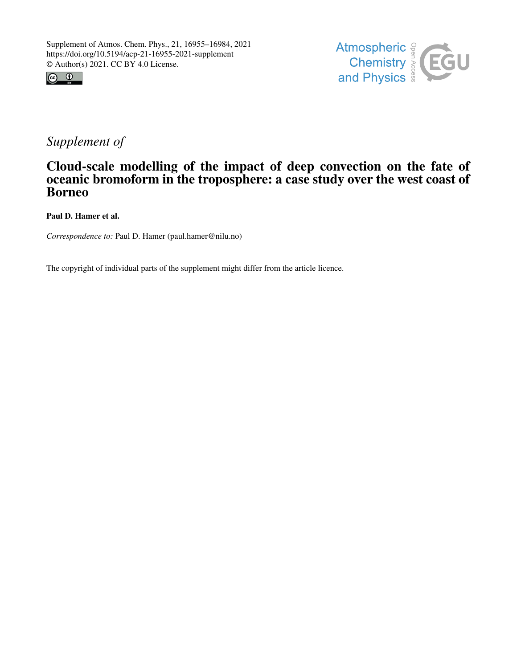



# *Supplement of*

## Cloud-scale modelling of the impact of deep convection on the fate of oceanic bromoform in the troposphere: a case study over the west coast of Borneo

Paul D. Hamer et al.

*Correspondence to:* Paul D. Hamer (paul.hamer@nilu.no)

The copyright of individual parts of the supplement might differ from the article licence.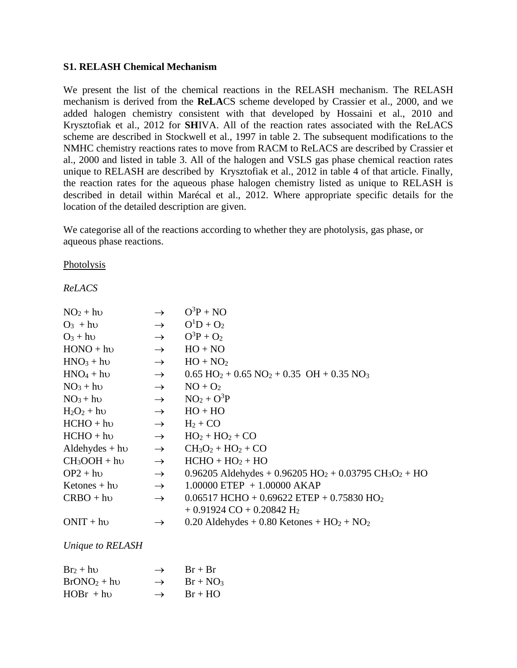#### **S1. RELASH Chemical Mechanism**

We present the list of the chemical reactions in the RELASH mechanism. The RELASH mechanism is derived from the **ReLA**CS scheme developed by Crassier et al., 2000, and we added halogen chemistry consistent with that developed by Hossaini et al., 2010 and Krysztofiak et al., 2012 for **SH**IVA. All of the reaction rates associated with the ReLACS scheme are described in Stockwell et al., 1997 in table 2. The subsequent modifications to the NMHC chemistry reactions rates to move from RACM to ReLACS are described by Crassier et al., 2000 and listed in table 3. All of the halogen and VSLS gas phase chemical reaction rates unique to RELASH are described by Krysztofiak et al., 2012 in table 4 of that article. Finally, the reaction rates for the aqueous phase halogen chemistry listed as unique to RELASH is described in detail within Marécal et al., 2012. Where appropriate specific details for the location of the detailed description are given.

We categorise all of the reactions according to whether they are photolysis, gas phase, or aqueous phase reactions.

Photolysis

## *ReLACS*

| $NO2 + hU$                 | $\rightarrow$ | $O^3P + NO$                                                                                   |
|----------------------------|---------------|-----------------------------------------------------------------------------------------------|
| $O_3$ + h <sub>v</sub>     | $\rightarrow$ | $O^{1}D + O_{2}$                                                                              |
| $O_3 + h\nu$               | $\rightarrow$ | $O^3P + O_2$                                                                                  |
| $HONO + h\nu$              | $\rightarrow$ | $HO + NO$                                                                                     |
| $HNO3 + hU$                | $\rightarrow$ | $HO + NO2$                                                                                    |
| $HNO4 + hU$                | $\rightarrow$ | $0.65 \text{ HO}_2 + 0.65 \text{ NO}_2 + 0.35 \text{ OH} + 0.35 \text{ NO}_3$                 |
| $NO3 + hv$                 | $\rightarrow$ | $NO + O2$                                                                                     |
| $NO3 + hU$                 | $\rightarrow$ | $NO2 + O3P$                                                                                   |
| $H_2O_2 + h\nu$            | $\rightarrow$ | $HO + HO$                                                                                     |
| $HCHO + hv$                | $\rightarrow$ | $H_2 + CO$                                                                                    |
| $HCHO + hv$                | $\rightarrow$ | $HO2 + HO2 + CO$                                                                              |
| Aldehydes $+$ h $\upsilon$ | $\rightarrow$ | $CH3O2 + HO2 + CO$                                                                            |
| $CH3OOH + hv$              | $\rightarrow$ | $HCHO + HO2 + HO$                                                                             |
| $OP2 + hv$                 | $\rightarrow$ | 0.96205 Aldehydes + $0.96205$ HO <sub>2</sub> + $0.03795$ CH <sub>3</sub> O <sub>2</sub> + HO |
| Ketones $+$ hv             | $\rightarrow$ | $1.00000$ ETEP $+1.00000$ AKAP                                                                |
| $CRBO + hv$                | $\rightarrow$ | $0.06517$ HCHO + 0.69622 ETEP + 0.75830 HO <sub>2</sub>                                       |
|                            |               | $+0.91924$ CO $+0.20842$ H <sub>2</sub>                                                       |
| $ONIT + hv$                | $\rightarrow$ | $0.20$ Aldehydes + 0.80 Ketones + HO <sub>2</sub> + NO <sub>2</sub>                           |

## *Unique to RELASH*

| $Br_2 + h\upsilon$ | $\rightarrow$ | $Br + Br$  |
|--------------------|---------------|------------|
| $BrONO2 + h0$      | $\rightarrow$ | $Br + NO3$ |
| $HOBr + hv$        | $\rightarrow$ | $Br + HO$  |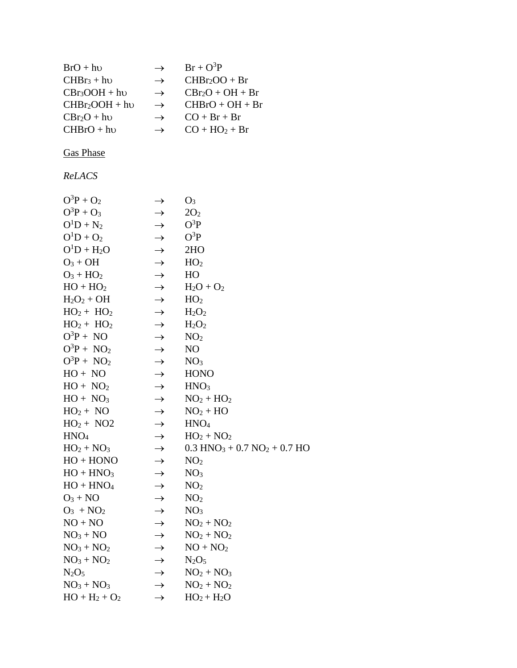| $BrO + hv$       | $\rightarrow$ | $Br + O^3P$                                           |
|------------------|---------------|-------------------------------------------------------|
| $CHBr3 + h0$     | $\rightarrow$ | $CHBr2OO + Br$                                        |
| $CBr3OOH + hv$   | $\rightarrow$ | $CBr_2O + OH + Br$                                    |
| $CHBr2OOH + hv$  | $\rightarrow$ | $CHBrO + OH + Br$                                     |
| $CBr_2O + hv$    | $\rightarrow$ | $CO + Br + Br$                                        |
| $CHBrO + hv$     | $\rightarrow$ | $CO + HO2 + Br$                                       |
|                  |               |                                                       |
| <b>Gas Phase</b> |               |                                                       |
| ReLACS           |               |                                                       |
| $O^3P + O_2$     | $\rightarrow$ | O <sub>3</sub>                                        |
| $O^3P + O_3$     | $\rightarrow$ | 2O <sub>2</sub>                                       |
| $O^1D + N_2$     | $\rightarrow$ | $O^3P$                                                |
| $O^1D + O_2$     | $\rightarrow$ | $O^3P$                                                |
| $O^1D + H_2O$    | $\rightarrow$ | 2HO                                                   |
| $O_3 + OH$       | $\rightarrow$ | HO <sub>2</sub>                                       |
| $O_3 + HO_2$     | $\rightarrow$ | HO                                                    |
| $HO + HO2$       | $\rightarrow$ | $H_2O + O_2$                                          |
| $H_2O_2 + OH$    | $\rightarrow$ | HO <sub>2</sub>                                       |
| $HO2 + HO2$      | $\rightarrow$ | $H_2O_2$                                              |
| $HO2 + HO2$      | $\rightarrow$ | $H_2O_2$                                              |
| $O^3P + NO$      | $\rightarrow$ | NO <sub>2</sub>                                       |
| $O^3P + NO_2$    | $\rightarrow$ | N <sub>O</sub>                                        |
| $O^3P + NO_2$    | $\rightarrow$ | NO <sub>3</sub>                                       |
| $HO + NO$        | $\rightarrow$ | <b>HONO</b>                                           |
| $HO + NO2$       | $\rightarrow$ | HNO <sub>3</sub>                                      |
| $HO + NO3$       | $\rightarrow$ | $NO2 + HO2$                                           |
| $HO2 + NO$       | $\rightarrow$ | $NO2 + HO$                                            |
| $HO2 + NO2$      | $\rightarrow$ | HNO <sub>4</sub>                                      |
| HNO <sub>4</sub> | $\rightarrow$ | $HO2 + NO2$                                           |
| $HO2 + NO3$      | $\rightarrow$ | $0.3$ HNO <sub>3</sub> + 0.7 NO <sub>2</sub> + 0.7 HO |
| $HO + HONO$      | $\rightarrow$ | NO <sub>2</sub>                                       |
| $HO + HNO3$      | $\rightarrow$ | NO <sub>3</sub>                                       |
| $HO + HNO4$      | $\rightarrow$ | NO <sub>2</sub>                                       |
| $O_3 + NO$       | $\rightarrow$ | NO <sub>2</sub>                                       |
| $O_3$ + $NO_2$   | $\rightarrow$ | NO <sub>3</sub>                                       |
| $NO + NO$        | $\rightarrow$ | $NO2 + NO2$                                           |
| $NO3 + NO$       | $\rightarrow$ | $NO2 + NO2$                                           |
| $NO3 + NO2$      | $\rightarrow$ | $NO + NO2$                                            |
| $NO3 + NO2$      | $\rightarrow$ | $N_2O_5$                                              |
| $N_2O_5$         | $\rightarrow$ | $NO2 + NO3$                                           |
| $NO3 + NO3$      | $\rightarrow$ | $NO2 + NO2$                                           |
| $HO + H_2 + O_2$ | $\rightarrow$ | $HO_2 + H_2O$                                         |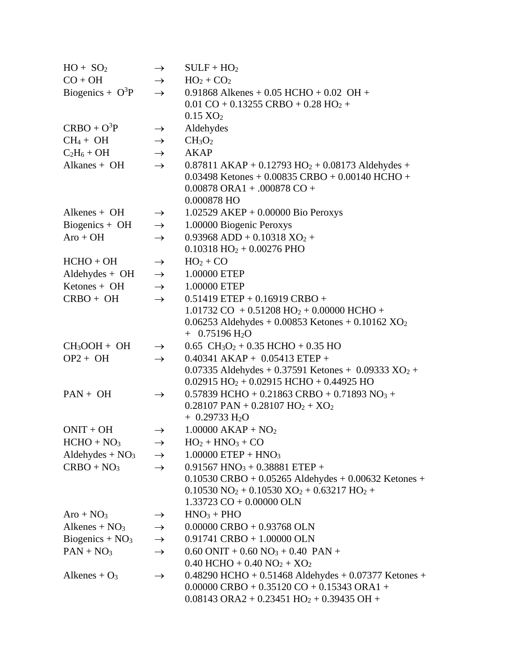| $HO + SO2$                        | $\rightarrow$ | $SULF + HO2$                                                                                |
|-----------------------------------|---------------|---------------------------------------------------------------------------------------------|
| $CO + OH$                         | $\rightarrow$ | $HO_2 + CO_2$                                                                               |
| Biogenics + $O^3P$                | $\rightarrow$ | 0.91868 Alkenes + 0.05 HCHO + 0.02 OH +                                                     |
|                                   |               | $0.01 \text{ CO} + 0.13255 \text{ CRBO} + 0.28 \text{ HO}_2 +$                              |
|                                   |               | $0.15 \text{ XO}_2$                                                                         |
| $CRBO + O3P$                      | $\rightarrow$ | Aldehydes                                                                                   |
| $CH_4 + OH$                       | $\rightarrow$ | CH <sub>3</sub> O <sub>2</sub>                                                              |
| $C_2H_6 + OH$                     | $\rightarrow$ | <b>AKAP</b>                                                                                 |
| Alkanes + $OH$                    | $\rightarrow$ | $0.87811$ AKAP + 0.12793 HO <sub>2</sub> + 0.08173 Aldehydes +                              |
|                                   |               | $0.03498$ Ketones + 0.00835 CRBO + 0.00140 HCHO +                                           |
|                                   |               | $0.00878$ ORA1 + .000878 CO +                                                               |
|                                   |               | 0.000878 HO                                                                                 |
| Alkenes $+$ OH                    | $\rightarrow$ | $1.02529$ AKEP + 0.00000 Bio Peroxys                                                        |
| Biogenics + $OH$                  | $\rightarrow$ | 1.00000 Biogenic Peroxys                                                                    |
| $Aro + OH$                        | $\rightarrow$ | $0.93968$ ADD + $0.10318$ XO <sub>2</sub> +                                                 |
|                                   |               | $0.10318$ HO <sub>2</sub> + 0.00276 PHO                                                     |
| $HCHO + OH$                       | $\rightarrow$ | $HO2 + CO$                                                                                  |
| $Aldehyde + OH$                   | $\rightarrow$ | 1.00000 ETEP                                                                                |
| $Ketones + OH$                    | $\rightarrow$ | 1.00000 ETEP                                                                                |
| $CRBO + OH$                       | $\rightarrow$ | $0.51419$ ETEP + 0.16919 CRBO +                                                             |
|                                   |               | $1.01732$ CO + 0.51208 HO <sub>2</sub> + 0.00000 HCHO +                                     |
|                                   |               | 0.06253 Aldehydes + 0.00853 Ketones + 0.10162 $XO_2$                                        |
|                                   |               | $+$ 0.75196 H <sub>2</sub> O                                                                |
| $CH3OOH + OH$                     | $\rightarrow$ | $0.65 \text{ CH}_3\text{O}_2 + 0.35 \text{ HCHO} + 0.35 \text{ HO}$                         |
| $OP2 + OH$                        | $\rightarrow$ | $0.40341$ AKAP + $0.05413$ ETEP +                                                           |
|                                   |               | 0.07335 Aldehydes + 0.37591 Ketones + 0.09333 $XO_2$ +                                      |
|                                   |               | $0.02915$ HO <sub>2</sub> + 0.02915 HCHO + 0.44925 HO                                       |
| $PAN + OH$                        | $\rightarrow$ | 0.57839 HCHO + 0.21863 CRBO + 0.71893 NO <sub>3</sub> +                                     |
|                                   |               | $0.28107$ PAN + $0.28107$ HO <sub>2</sub> + XO <sub>2</sub><br>$+ 0.29733$ H <sub>2</sub> O |
| $ONIT + OH$                       |               | $1.00000$ AKAP + NO <sub>2</sub>                                                            |
| $HCHO + NO3$                      | $\rightarrow$ | $HO2 + HNO3 + CO$                                                                           |
|                                   | $\rightarrow$ |                                                                                             |
| Aldehydes + $NO3$<br>$CRBO + NO3$ | $\rightarrow$ | $1.00000$ ETEP + HNO <sub>3</sub><br>$0.91567$ HNO <sub>3</sub> + 0.38881 ETEP +            |
|                                   | $\rightarrow$ | $0.10530 \text{ CRBO} + 0.05265 \text{ Aldehyde} + 0.00632 \text{ Ketones} +$               |
|                                   |               | $0.10530 NO2 + 0.10530 XO2 + 0.63217 HO2 +$                                                 |
|                                   |               | $1.33723$ CO + 0.00000 OLN                                                                  |
| $Aro + NO3$                       | $\rightarrow$ | $HNO3 + PHO$                                                                                |
| Alkenes + $NO3$                   | $\rightarrow$ | $0.00000$ CRBO + 0.93768 OLN                                                                |
| Biogenics + $NO3$                 | $\rightarrow$ | $0.91741$ CRBO + $1.00000$ OLN                                                              |
| $PAN + NO3$                       | $\rightarrow$ | $0.60$ ONIT + $0.60$ NO <sub>3</sub> + $0.40$ PAN +                                         |
|                                   |               | $0.40$ HCHO + $0.40$ NO <sub>2</sub> + XO <sub>2</sub>                                      |
| Alkenes + $O_3$                   | $\rightarrow$ | $0.48290$ HCHO + 0.51468 Aldehydes + 0.07377 Ketones +                                      |
|                                   |               | $0.00000$ CRBO + $0.35120$ CO + $0.15343$ ORA1 +                                            |
|                                   |               | $0.08143 \text{ ORA2} + 0.23451 \text{ HO}_2 + 0.39435 \text{ OH} +$                        |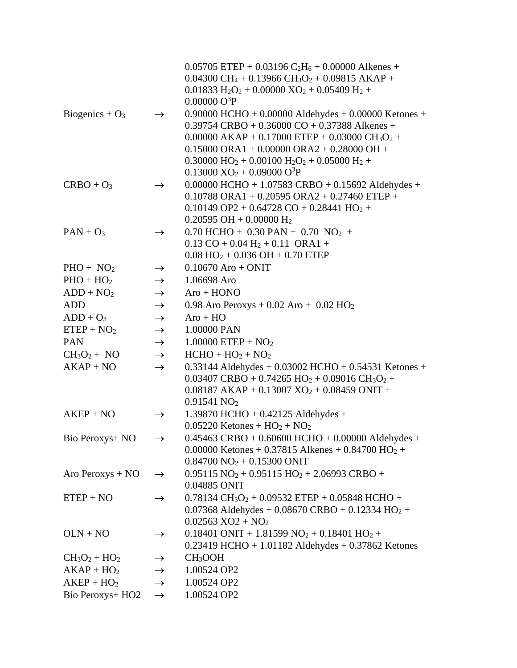|                    |               | $0.05705$ ETEP + 0.03196 C <sub>2</sub> H <sub>6</sub> + 0.00000 Alkenes +                   |
|--------------------|---------------|----------------------------------------------------------------------------------------------|
|                    |               | $0.04300 \text{ CH}_4 + 0.13966 \text{ CH}_3\text{O}_2 + 0.09815 \text{ AKAP} +$             |
|                    |               | $0.01833 H_2O_2 + 0.00000 XO_2 + 0.05409 H_2 +$                                              |
|                    |               | $0.00000O^3P$                                                                                |
| Biogenics + $O_3$  | $\rightarrow$ | $0.90000$ HCHO + 0.00000 Aldehydes + 0.00000 Ketones +                                       |
|                    |               | $0.39754$ CRBO + 0.36000 CO + 0.37388 Alkenes +                                              |
|                    |               | $0.00000$ AKAP + 0.17000 ETEP + 0.03000 CH <sub>3</sub> O <sub>2</sub> +                     |
|                    |               | $0.15000$ ORA $1 + 0.00000$ ORA $2 + 0.28000$ OH +                                           |
|                    |               | $0.30000$ HO <sub>2</sub> + 0.00100 H <sub>2</sub> O <sub>2</sub> + 0.05000 H <sub>2</sub> + |
|                    |               | $0.13000 \text{ XO}_2 + 0.09000 \text{ O}^3\text{P}$                                         |
| $CRBO + O3$        | $\rightarrow$ | $0.00000$ HCHO + $1.07583$ CRBO + $0.15692$ Aldehydes +                                      |
|                    |               | $0.10788 \text{ ORA}1 + 0.20595 \text{ ORA}2 + 0.27460 \text{ ETEP} +$                       |
|                    |               | $0.10149$ OP2 + 0.64728 CO + 0.28441 HO <sub>2</sub> +                                       |
|                    |               | $0.20595$ OH + 0.00000 H <sub>2</sub>                                                        |
| $PAN + O_3$        | $\rightarrow$ | $0.70$ HCHO + $0.30$ PAN + $0.70$ NO <sub>2</sub> +                                          |
|                    |               | $0.13 \text{ CO} + 0.04 \text{ H}_2 + 0.11 \text{ ORA1} +$                                   |
|                    |               | $0.08$ HO <sub>2</sub> + 0.036 OH + 0.70 ETEP                                                |
| $PHO + NO2$        | $\rightarrow$ | $0.10670$ Aro + ONIT                                                                         |
| $PHO + HO2$        | $\rightarrow$ | 1.06698 Aro                                                                                  |
| $ADD + NO2$        | $\rightarrow$ | $Aro + HONO$                                                                                 |
| <b>ADD</b>         | $\rightarrow$ | 0.98 Aro Peroxys + $0.02$ Aro + $0.02$ HO <sub>2</sub>                                       |
| $ADD + O_3$        | $\rightarrow$ | $Aro + HO$                                                                                   |
| $ETEP + NO2$       | $\rightarrow$ | 1.00000 PAN                                                                                  |
| <b>PAN</b>         | $\rightarrow$ | $1.00000$ ETEP + NO <sub>2</sub>                                                             |
| $CH3O2 + NO$       | $\rightarrow$ | $HCHO + HO2 + NO2$                                                                           |
| $AKAP + NO$        | $\rightarrow$ | 0.33144 Aldehydes + 0.03002 HCHO + 0.54531 Ketones +                                         |
|                    |               | $0.03407$ CRBO + 0.74265 HO <sub>2</sub> + 0.09016 CH <sub>3</sub> O <sub>2</sub> +          |
|                    |               | $0.08187$ AKAP + $0.13007$ XO <sub>2</sub> + $0.08459$ ONIT +                                |
|                    |               | 0.91541 NO <sub>2</sub>                                                                      |
| $AKEP + NO$        | $\rightarrow$ | $1.39870$ HCHO + 0.42125 Aldehydes +                                                         |
|                    |               | $0.05220$ Ketones + $HO2$ + $NO2$                                                            |
| Bio Peroxys+ NO    | $\rightarrow$ | $0.45463 \text{ CRBO} + 0.60600 \text{ HCHO} + 0.00000 \text{ Aldehyde} +$                   |
|                    |               | 0.00000 Ketones + 0.37815 Alkenes + 0.84700 HO <sub>2</sub> +                                |
|                    |               | $0.84700 \text{ NO}_2 + 0.15300 \text{ ONIT}$                                                |
| Aro Peroxys $+ NO$ | $\rightarrow$ | $0.95115 NO2 + 0.95115 HO2 + 2.06993 CRBO +$                                                 |
|                    |               | 0.04885 ONIT                                                                                 |
| $ETEP + NO$        | $\rightarrow$ | $0.78134 \text{ CH}_3\text{O}_2 + 0.09532 \text{ ETEP} + 0.05848 \text{ HCHO} +$             |
|                    |               | $0.07368$ Aldehydes + $0.08670$ CRBO + $0.12334$ HO <sub>2</sub> +                           |
|                    |               | $0.02563$ XO2 + NO <sub>2</sub>                                                              |
| $OLN + NO$         | $\rightarrow$ | $0.18401$ ONIT + 1.81599 NO <sub>2</sub> + 0.18401 HO <sub>2</sub> +                         |
|                    |               | $0.23419$ HCHO + 1.01182 Aldehydes + 0.37862 Ketones                                         |
| $CH3O2 + HO2$      | $\rightarrow$ | CH <sub>3</sub> OOH                                                                          |
| $AKAP + HO2$       | $\rightarrow$ | 1.00524 OP2                                                                                  |
| $AKEP + HO2$       | $\rightarrow$ | 1.00524 OP2                                                                                  |
| Bio Peroxys+ HO2   | $\rightarrow$ | 1.00524 OP2                                                                                  |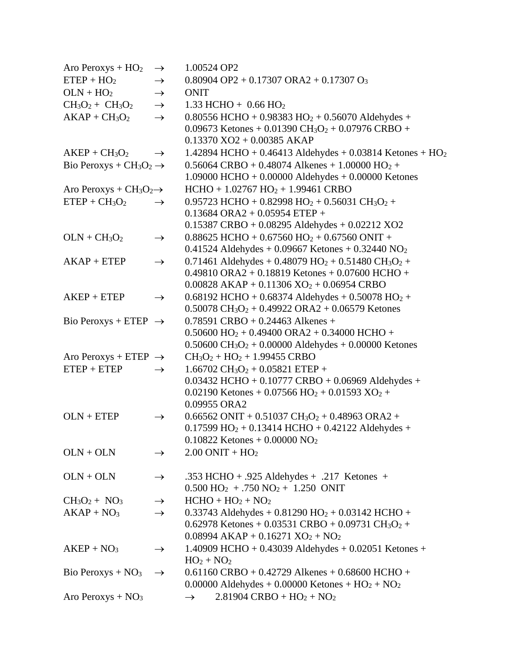| Aro Peroxys + $HO2$               | $\rightarrow$ | 1.00524 OP2                                                                                                        |
|-----------------------------------|---------------|--------------------------------------------------------------------------------------------------------------------|
| $ETEP + HO2$                      | $\rightarrow$ | $0.80904$ OP2 + 0.17307 ORA2 + 0.17307 O <sub>3</sub>                                                              |
| $OLN + HO2$                       | $\rightarrow$ | <b>ONIT</b>                                                                                                        |
| $CH3O2 + CH3O2$                   | $\rightarrow$ | 1.33 HCHO + $0.66$ HO <sub>2</sub>                                                                                 |
| $AKAP + CH3O2$                    | $\rightarrow$ | $0.80556$ HCHO + $0.98383$ HO <sub>2</sub> + $0.56070$ Aldehydes +                                                 |
|                                   |               | 0.09673 Ketones + 0.01390 CH <sub>3</sub> O <sub>2</sub> + 0.07976 CRBO +                                          |
|                                   |               | $0.13370$ XO2 + 0.00385 AKAP                                                                                       |
| $AKEP + CH3O2$                    | $\rightarrow$ | 1.42894 HCHO + 0.46413 Aldehydes + 0.03814 Ketones + HO <sub>2</sub>                                               |
| Bio Peroxys + $CH3O2 \rightarrow$ |               | $0.56064$ CRBO + 0.48074 Alkenes + 1.00000 HO <sub>2</sub> +                                                       |
|                                   |               | 1.09000 HCHO + $0.00000$ Aldehydes + $0.00000$ Ketones                                                             |
| Aro Peroxys + $CH3O2\rightarrow$  |               | $HCHO + 1.02767 HO2 + 1.99461 CRBO$                                                                                |
| $ETEP + CH3O2$                    | $\rightarrow$ | 0.95723 HCHO + 0.82998 HO <sub>2</sub> + 0.56031 CH <sub>3</sub> O <sub>2</sub> +                                  |
|                                   |               | $0.13684 \text{ ORA}2 + 0.05954 \text{ ETEP} +$                                                                    |
|                                   |               | $0.15387$ CRBO + 0.08295 Aldehydes + 0.02212 XO2                                                                   |
| $OLN + CH3O2$                     | $\rightarrow$ | $0.88625$ HCHO + $0.67560$ HO <sub>2</sub> + $0.67560$ ONIT +                                                      |
|                                   |               | 0.41524 Aldehydes + 0.09667 Ketones + 0.32440 $NO2$                                                                |
| $AKAP + ETEP$                     | $\rightarrow$ | 0.71461 Aldehydes + 0.48079 HO <sub>2</sub> + 0.51480 CH <sub>3</sub> O <sub>2</sub> +                             |
|                                   |               | $0.49810$ ORA2 + 0.18819 Ketones + 0.07600 HCHO +                                                                  |
|                                   |               | $0.00828$ AKAP + 0.11306 XO <sub>2</sub> + 0.06954 CRBO                                                            |
| $AKEP + ETEP$                     | $\rightarrow$ | $0.68192$ HCHO + 0.68374 Aldehydes + 0.50078 HO <sub>2</sub> +                                                     |
|                                   |               | $0.50078 \text{ CH}_3\text{O}_2 + 0.49922 \text{ ORA2} + 0.06579 \text{ Ketones}$                                  |
| Bio Peroxys + ETEP $\rightarrow$  |               | $0.78591$ CRBO + 0.24463 Alkenes +                                                                                 |
|                                   |               | $0.50600$ HO <sub>2</sub> + 0.49400 ORA2 + 0.34000 HCHO +                                                          |
|                                   |               | $0.50600 \text{ CH}_3O_2 + 0.00000 \text{ Aldehyde} + 0.00000 \text{ Ketones}$                                     |
| Aro Peroxys + ETEP $\rightarrow$  |               | $CH3O2 + HO2 + 1.99455 CRBO$                                                                                       |
| $ETEP + ETEP$                     | $\rightarrow$ | $1.66702 \text{ CH}_3\text{O}_2 + 0.05821 \text{ ETEP} +$<br>$0.03432$ HCHO + $0.10777$ CRBO + 0.06969 Aldehydes + |
|                                   |               | $0.02190$ Ketones + 0.07566 HO <sub>2</sub> + 0.01593 XO <sub>2</sub> +                                            |
|                                   |               | 0.09955 ORA2                                                                                                       |
| $OLN + ETEP$                      | $\rightarrow$ | $0.66562$ ONIT + $0.51037$ CH <sub>3</sub> O <sub>2</sub> + 0.48963 ORA2 +                                         |
|                                   |               | $0.17599$ HO <sub>2</sub> + 0.13414 HCHO + 0.42122 Aldehydes +                                                     |
|                                   |               | $0.10822$ Ketones + 0.00000 NO <sub>2</sub>                                                                        |
| $OLN + OLN$                       | $\rightarrow$ | $2.00$ ONIT + HO <sub>2</sub>                                                                                      |
|                                   |               |                                                                                                                    |
| $OLN + OLN$                       | $\rightarrow$ | .353 HCHO + .925 Aldehydes + .217 Ketones +                                                                        |
|                                   |               | $0.500$ HO <sub>2</sub> + .750 NO <sub>2</sub> + 1.250 ONIT                                                        |
| $CH3O2 + NO3$                     | $\rightarrow$ | $HCHO + HO2 + NO2$                                                                                                 |
| $AKAP + NO3$                      | $\rightarrow$ | 0.33743 Aldehydes + $0.81290$ HO <sub>2</sub> + $0.03142$ HCHO +                                                   |
|                                   |               | 0.62978 Ketones + 0.03531 CRBO + 0.09731 CH <sub>3</sub> O <sub>2</sub> +                                          |
|                                   |               | $0.08994$ AKAP + $0.16271$ XO <sub>2</sub> + NO <sub>2</sub>                                                       |
| $AKEP + NO3$                      | $\rightarrow$ | 1.40909 HCHO + $0.43039$ Aldehydes + $0.02051$ Ketones +                                                           |
|                                   |               | $HO2 + NO2$                                                                                                        |
| Bio Peroxys + $NO3$               | $\rightarrow$ | $0.61160$ CRBO + 0.42729 Alkenes + 0.68600 HCHO +                                                                  |
|                                   |               | 0.00000 Aldehydes + 0.00000 Ketones + $HO_2 + NO_2$                                                                |
| Aro Peroxys + $NO3$               |               | $2.81904$ CRBO + HO <sub>2</sub> + NO <sub>2</sub><br>$\rightarrow$                                                |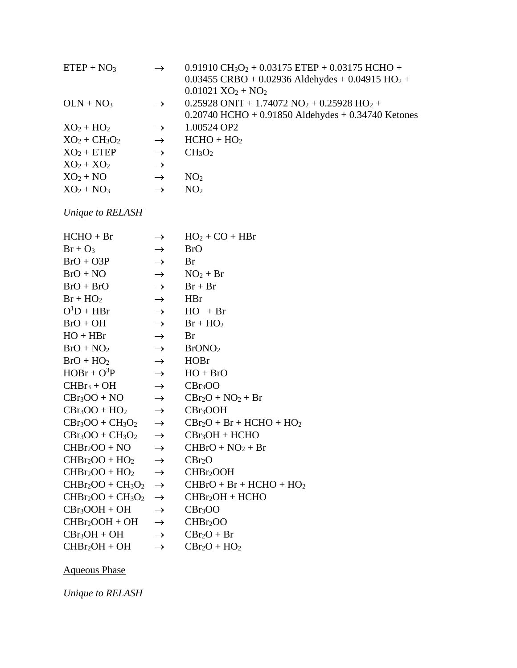| $ETEP + NO3$     | $\rightarrow$ | 0.91910 CH <sub>3</sub> O <sub>2</sub> + 0.03175 ETEP + 0.03175 HCHO +     |
|------------------|---------------|----------------------------------------------------------------------------|
|                  |               | $0.03455 \text{ CRBO} + 0.02936 \text{ Aldehyde} + 0.04915 \text{ HO}_2 +$ |
|                  |               | $0.01021 \text{ XO}_2 + \text{NO}_2$                                       |
| $OLN + NO3$      | $\rightarrow$ | $0.25928$ ONIT + 1.74072 NO <sub>2</sub> + 0.25928 HO <sub>2</sub> +       |
|                  |               | $0.20740$ HCHO + 0.91850 Aldehydes + 0.34740 Ketones                       |
| $XO_2 + HO_2$    | $\rightarrow$ | 1.00524 OP2                                                                |
| $XO_2 + CH_3O_2$ | $\rightarrow$ | $HCHO + HO2$                                                               |
| $XO2 + ETEP$     | $\rightarrow$ | CH <sub>3</sub> O <sub>2</sub>                                             |
| $XO_2 + XO_2$    | $\rightarrow$ |                                                                            |
| $XO_2 + NO$      | $\rightarrow$ | NO <sub>2</sub>                                                            |
| $XO_2 + NO_3$    | $\rightarrow$ | NO <sub>2</sub>                                                            |

*Unique to RELASH*

| $HCHO + Br$       | $\rightarrow$ | $HO2 + CO + HBr$            |
|-------------------|---------------|-----------------------------|
| $Br + O_3$        | $\rightarrow$ | <b>BrO</b>                  |
| $BrO + O3P$       | $\rightarrow$ | Br                          |
| $BrO + NO$        | $\rightarrow$ | $NO2 + Br$                  |
| $BrO + BrO$       | $\rightarrow$ | $Br + Br$                   |
| $Br + HO2$        | $\rightarrow$ | <b>HBr</b>                  |
| $O^1D + HBr$      | $\rightarrow$ | $HO + Br$                   |
| $BrO + OH$        | $\rightarrow$ | $Br + HO2$                  |
| $HO + HBr$        | $\rightarrow$ | Br                          |
| $BrO + NO2$       | $\rightarrow$ | BrONO <sub>2</sub>          |
| $BrO + HO2$       | $\rightarrow$ | <b>HOBr</b>                 |
| $HOBr + O^3P$     | $\rightarrow$ | $HO + BrO$                  |
| $CHBr3 + OH$      | $\rightarrow$ | CBr <sub>3</sub> OO         |
| $CBr3OO + NO$     | $\rightarrow$ | $CBr_2O + NO_2 + Br$        |
| $CBr3OO + HO2$    | $\rightarrow$ | CBr <sub>3</sub> OOH        |
| $CBr3OO + CH3O2$  | $\rightarrow$ | $CBr_2O + Br + HCHO + HO_2$ |
| $CBr3OO + CH3O2$  | $\rightarrow$ | $CBr3OH + HCHO$             |
| $CHBr2OO + NO$    | $\rightarrow$ | $CHBrO + NO2 + Br$          |
| $CHBr2OO + HO2$   | $\rightarrow$ | CBr <sub>2</sub> O          |
| $CHBr2OO + HO2$   | $\rightarrow$ | CHBr <sub>2</sub> OOH       |
| $CHBr2OO + CH3O2$ | $\rightarrow$ | $CHBrO + Br + HCHO + HO2$   |
| $CHBr2OO + CH3O2$ | $\rightarrow$ | $CHBr2OH + HCHO$            |
| $CBr3OOH + OH$    | $\rightarrow$ | CBr <sub>3</sub> OO         |
| $CHBr2OOH + OH$   | $\rightarrow$ | CHBr <sub>2</sub> OO        |
| $CBr_3OH + OH$    | $\rightarrow$ | $CBr_2O + Br$               |
| $CHBr2OH + OH$    | $\rightarrow$ | $CBr_2O + HO_2$             |

Aqueous Phase

*Unique to RELASH*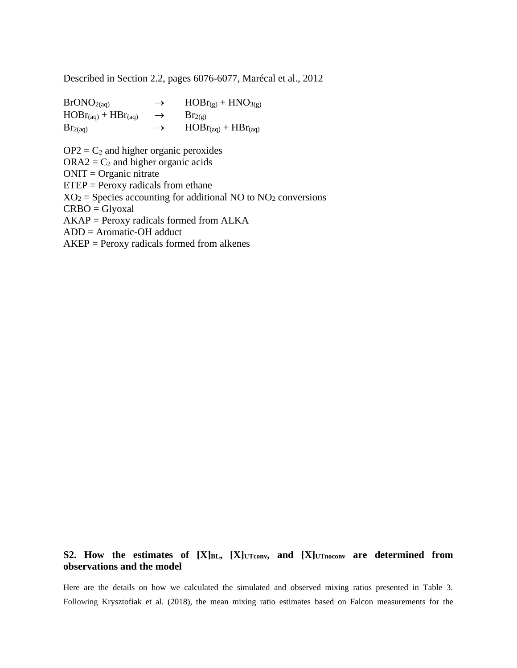Described in Section 2.2, pages 6076-6077, Marécal et al., 2012

 $BrONO_{2(aq)} \rightarrow HOBr_{(g)} + HNO_{3(g)}$  $HOBr_{(aq)} + HBr_{(aq)} \rightarrow Br_{2(g)}$  $Br_{2(aq)} \rightarrow HOBr_{(aq)} + HBr_{(aq)}$ 

 $OP2 = C<sub>2</sub>$  and higher organic peroxides  $ORA2 = C<sub>2</sub>$  and higher organic acids  $ONIT = Organic$  nitrate  $ETEP = Percxy$  radicals from ethane  $XO_2$  = Species accounting for additional NO to NO<sub>2</sub> conversions CRBO = Glyoxal AKAP = Peroxy radicals formed from ALKA ADD = Aromatic-OH adduct AKEP = Peroxy radicals formed from alkenes

## **S2. How the estimates of [X]BL, [X]UTconv, and [X]UTnoconv are determined from observations and the model**

Here are the details on how we calculated the simulated and observed mixing ratios presented in Table 3. Following Krysztofiak et al. (2018), the mean mixing ratio estimates based on Falcon measurements for the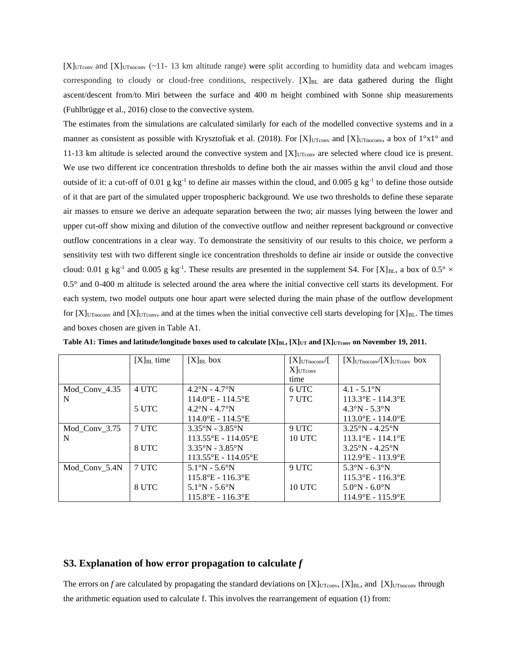$[X]$ <sub>UTconv</sub> and  $[X]$ <sub>UTnoconv</sub> (~11-13 km altitude range) were split according to humidity data and webcam images corresponding to cloudy or cloud-free conditions, respectively.  $[X]_{BL}$  are data gathered during the flight ascent/descent from/to Miri between the surface and 400 m height combined with Sonne ship measurements (Fuhlbrügge et al., 2016) close to the convective system.

The estimates from the simulations are calculated similarly for each of the modelled convective systems and in a manner as consistent as possible with Krysztofiak et al. (2018). For [X]<sub>UTconv</sub> and [X]<sub>UTnoconv</sub>, a box of  $1^{\circ}x1^{\circ}$  and 11-13 km altitude is selected around the convective system and  $[X]_{UTconv}$  are selected where cloud ice is present. We use two different ice concentration thresholds to define both the air masses within the anvil cloud and those outside of it: a cut-off of 0.01 g  $kg^{-1}$  to define air masses within the cloud, and 0.005 g  $kg^{-1}$  to define those outside of it that are part of the simulated upper tropospheric background. We use two thresholds to define these separate air masses to ensure we derive an adequate separation between the two; air masses lying between the lower and upper cut-off show mixing and dilution of the convective outflow and neither represent background or convective outflow concentrations in a clear way. To demonstrate the sensitivity of our results to this choice, we perform a sensitivity test with two different single ice concentration thresholds to define air inside or outside the convective cloud: 0.01 g kg<sup>-1</sup> and 0.005 g kg<sup>-1</sup>. These results are presented in the supplement S4. For [X]<sub>BL</sub>, a box of 0.5°  $\times$ 0.5° and 0-400 m altitude is selected around the area where the initial convective cell starts its development. For each system, two model outputs one hour apart were selected during the main phase of the outflow development for  $[X]$ <sub>UTnoconv</sub> and  $[X]$ <sub>UTconv</sub>, and at the times when the initial convective cell starts developing for  $[X]_{BL}$ . The times and boxes chosen are given in Table A1.

|               | $[X]_{BL}$ time | $[X]_{BL}$ box                      | $[X]$ UTnoconv $/[$ | $[X]$ UTnoconv $/[X]$ UTconv box   |
|---------------|-----------------|-------------------------------------|---------------------|------------------------------------|
|               |                 |                                     | $X$ JUTconv         |                                    |
|               |                 |                                     | time                |                                    |
| Mod Conv 4.35 | 4 UTC           | $4.2^{\circ}$ N - $4.7^{\circ}$ N   | 6 UTC               | $4.1 - 5.1^{\circ}N$               |
| N             |                 | $114.0$ °E - 114.5°E                | 7 UTC               | $113.3^{\circ}E - 114.3^{\circ}E$  |
|               | 5 UTC           | $4.2^{\circ}$ N - $4.7^{\circ}$ N   |                     | $4.3^{\circ}$ N - 5.3 $^{\circ}$ N |
|               |                 | $114.0^{\circ}E - 114.5^{\circ}E$   |                     | $113.0^{\circ}E - 114.0^{\circ}E$  |
| Mod Conv 3.75 | 7 UTC           | $3.35^{\circ}$ N - $3.85^{\circ}$ N | 9 UTC               | $3.25^{\circ}$ N - 4.25°N          |
| N             |                 | $113.55$ °E - 114.05°E              | 10 UTC              | $113.1$ °E - 114.1°E               |
|               | 8 UTC           | $3.35^{\circ}$ N - $3.85^{\circ}$ N |                     | $3.25^{\circ}$ N - 4.25°N          |
|               |                 | $113.55^{\circ}E - 114.05^{\circ}E$ |                     | $112.9^{\circ}E - 113.9^{\circ}E$  |
| Mod Conv 5.4N | 7 UTC           | $5.1^{\circ}N - 5.6^{\circ}N$       | 9 UTC               | $5.3^{\circ}N - 6.3^{\circ}N$      |
|               |                 | $115.8$ °E - 116.3°E                |                     | $115.3$ °E - 116.3°E               |
|               | 8 UTC           | $5.1^{\circ}N - 5.6^{\circ}N$       | <b>10 UTC</b>       | $5.0^{\circ}N - 6.0^{\circ}N$      |
|               |                 | $115.8$ °E - 116.3°E                |                     | $114.9^{\circ}E - 115.9^{\circ}E$  |

**Table A1: Times and latitude/longitude boxes used to calculate [X]BL, [X]UT and [X]UTconv on November 19, 2011.**

#### **S3. Explanation of how error propagation to calculate** *f*

The errors on *f* are calculated by propagating the standard deviations on  $[X]_{\text{UToov}}$ ,  $[X]_{\text{BL}}$ , and  $[X]_{\text{UToocov}}$  through the arithmetic equation used to calculate f. This involves the rearrangement of equation (1) from: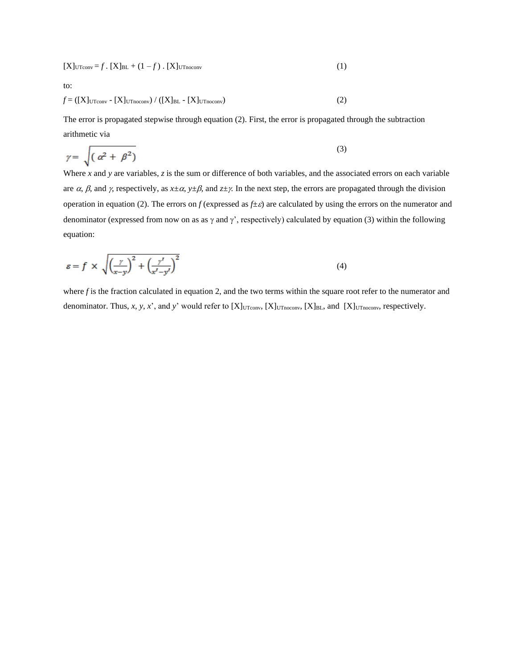$$
[X]_{\text{UTconv}} = f \cdot [X]_{\text{BL}} + (1 - f) \cdot [X]_{\text{UTnoconv}} \tag{1}
$$

to:

$$
f = \left( [X]_{\text{UTconv}} - [X]_{\text{UTnocony}} \right) / \left( [X]_{\text{BL}} - [X]_{\text{UTnocony}} \right) \tag{2}
$$

The error is propagated stepwise through equation (2). First, the error is propagated through the subtraction arithmetic via

$$
\gamma = \sqrt{(\alpha^2 + \beta^2)}
$$
\n(3)

Where *x* and *y* are variables, *z* is the sum or difference of both variables, and the associated errors on each variable are  $\alpha$ ,  $\beta$ , and  $\gamma$ , respectively, as  $x \pm \alpha$ ,  $y \pm \beta$ , and  $z \pm \gamma$ . In the next step, the errors are propagated through the division operation in equation (2). The errors on  $f$  (expressed as  $f \pm \varepsilon$ ) are calculated by using the errors on the numerator and denominator (expressed from now on as as  $\gamma$  and  $\gamma'$ , respectively) calculated by equation (3) within the following equation:

$$
\varepsilon = f \times \sqrt{\left(\frac{\gamma}{x-y}\right)^2 + \left(\frac{\gamma'}{x'-y'}\right)^2} \tag{4}
$$

where *f* is the fraction calculated in equation 2, and the two terms within the square root refer to the numerator and denominator. Thus, *x*, *y*, *x*', and *y*' would refer to  $[X]_{UTconv}$ ,  $[X]_{UTnoconv}$ ,  $[X]_{BL}$ , and  $[X]_{UTnoconv}$ , respectively.